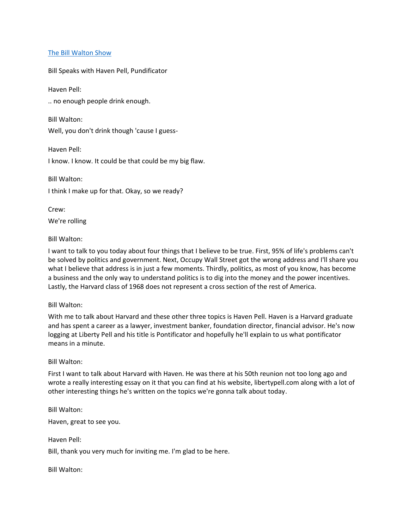# [The Bill Walton Show](https://thebillwaltonshow.com/)

Bill Speaks with Haven Pell, Pundificator

Haven Pell:

.. no enough people drink enough.

Bill Walton:

Well, you don't drink though 'cause I guess-

Haven Pell: I know. I know. It could be that could be my big flaw.

Bill Walton: I think I make up for that. Okay, so we ready?

Crew:

We're rolling

Bill Walton:

I want to talk to you today about four things that I believe to be true. First, 95% of life's problems can't be solved by politics and government. Next, Occupy Wall Street got the wrong address and I'll share you what I believe that address is in just a few moments. Thirdly, politics, as most of you know, has become a business and the only way to understand politics is to dig into the money and the power incentives. Lastly, the Harvard class of 1968 does not represent a cross section of the rest of America.

# Bill Walton:

With me to talk about Harvard and these other three topics is Haven Pell. Haven is a Harvard graduate and has spent a career as a lawyer, investment banker, foundation director, financial advisor. He's now logging at Liberty Pell and his title is Pontificator and hopefully he'll explain to us what pontificator means in a minute.

#### Bill Walton:

First I want to talk about Harvard with Haven. He was there at his 50th reunion not too long ago and wrote a really interesting essay on it that you can find at his website, libertypell.com along with a lot of other interesting things he's written on the topics we're gonna talk about today.

Bill Walton: Haven, great to see you.

Haven Pell:

Bill, thank you very much for inviting me. I'm glad to be here.

Bill Walton: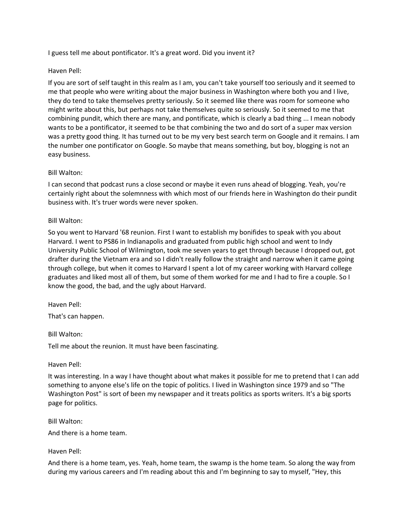I guess tell me about pontificator. It's a great word. Did you invent it?

# Haven Pell:

If you are sort of self taught in this realm as I am, you can't take yourself too seriously and it seemed to me that people who were writing about the major business in Washington where both you and I live, they do tend to take themselves pretty seriously. So it seemed like there was room for someone who might write about this, but perhaps not take themselves quite so seriously. So it seemed to me that combining pundit, which there are many, and pontificate, which is clearly a bad thing ... I mean nobody wants to be a pontificator, it seemed to be that combining the two and do sort of a super max version was a pretty good thing. It has turned out to be my very best search term on Google and it remains. I am the number one pontificator on Google. So maybe that means something, but boy, blogging is not an easy business.

# Bill Walton:

I can second that podcast runs a close second or maybe it even runs ahead of blogging. Yeah, you're certainly right about the solemnness with which most of our friends here in Washington do their pundit business with. It's truer words were never spoken.

# Bill Walton:

So you went to Harvard '68 reunion. First I want to establish my bonifides to speak with you about Harvard. I went to PS86 in Indianapolis and graduated from public high school and went to Indy University Public School of Wilmington, took me seven years to get through because I dropped out, got drafter during the Vietnam era and so I didn't really follow the straight and narrow when it came going through college, but when it comes to Harvard I spent a lot of my career working with Harvard college graduates and liked most all of them, but some of them worked for me and I had to fire a couple. So I know the good, the bad, and the ugly about Harvard.

# Haven Pell:

That's can happen.

# Bill Walton:

Tell me about the reunion. It must have been fascinating.

# Haven Pell:

It was interesting. In a way I have thought about what makes it possible for me to pretend that I can add something to anyone else's life on the topic of politics. I lived in Washington since 1979 and so "The Washington Post" is sort of been my newspaper and it treats politics as sports writers. It's a big sports page for politics.

# Bill Walton:

And there is a home team.

# Haven Pell:

And there is a home team, yes. Yeah, home team, the swamp is the home team. So along the way from during my various careers and I'm reading about this and I'm beginning to say to myself, "Hey, this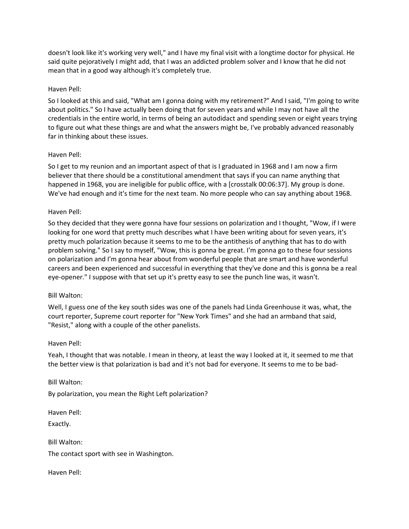doesn't look like it's working very well," and I have my final visit with a longtime doctor for physical. He said quite pejoratively I might add, that I was an addicted problem solver and I know that he did not mean that in a good way although it's completely true.

### Haven Pell:

So I looked at this and said, "What am I gonna doing with my retirement?" And I said, "I'm going to write about politics." So I have actually been doing that for seven years and while I may not have all the credentials in the entire world, in terms of being an autodidact and spending seven or eight years trying to figure out what these things are and what the answers might be, I've probably advanced reasonably far in thinking about these issues.

### Haven Pell:

So I get to my reunion and an important aspect of that is I graduated in 1968 and I am now a firm believer that there should be a constitutional amendment that says if you can name anything that happened in 1968, you are ineligible for public office, with a [crosstalk 00:06:37]. My group is done. We've had enough and it's time for the next team. No more people who can say anything about 1968.

### Haven Pell:

So they decided that they were gonna have four sessions on polarization and I thought, "Wow, if I were looking for one word that pretty much describes what I have been writing about for seven years, it's pretty much polarization because it seems to me to be the antithesis of anything that has to do with problem solving." So I say to myself, "Wow, this is gonna be great. I'm gonna go to these four sessions on polarization and I'm gonna hear about from wonderful people that are smart and have wonderful careers and been experienced and successful in everything that they've done and this is gonna be a real eye-opener." I suppose with that set up it's pretty easy to see the punch line was, it wasn't.

# Bill Walton:

Well, I guess one of the key south sides was one of the panels had Linda Greenhouse it was, what, the court reporter, Supreme court reporter for "New York Times" and she had an armband that said, "Resist," along with a couple of the other panelists.

#### Haven Pell:

Yeah, I thought that was notable. I mean in theory, at least the way I looked at it, it seemed to me that the better view is that polarization is bad and it's not bad for everyone. It seems to me to be bad-

Bill Walton:

By polarization, you mean the Right Left polarization?

Haven Pell:

Exactly.

Bill Walton: The contact sport with see in Washington.

Haven Pell: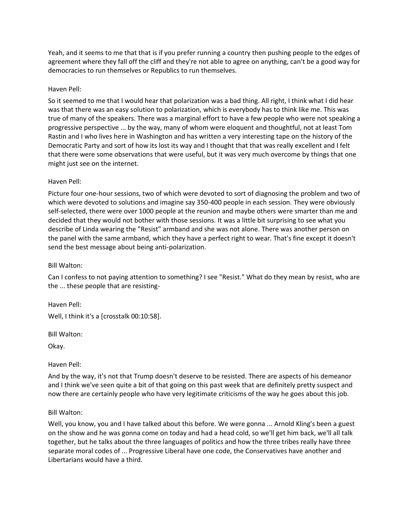Yeah, and it seems to me that that is if you prefer running a country then pushing people to the edges of agreement where they fall off the cliff and they're not able to agree on anything, can't be a good way for democracies to run themselves or Republics to run themselves.

# Haven Pell:

So it seemed to me that I would hear that polarization was a bad thing. All right, I think what I did hear was that there was an easy solution to polarization, which is everybody has to think like me. This was true of many of the speakers. There was a marginal effort to have a few people who were not speaking a progressive perspective ... by the way, many of whom were eloquent and thoughtful, not at least Tom Rastin and I who lives here in Washington and has written a very interesting tape on the history of the Democratic Party and sort of how its lost its way and I thought that that was really excellent and I felt that there were some observations that were useful, but it was very much overcome by things that one might just see on the internet.

### Haven Pell:

Picture four one-hour sessions, two of which were devoted to sort of diagnosing the problem and two of which were devoted to solutions and imagine say 350-400 people in each session. They were obviously self-selected, there were over 1000 people at the reunion and maybe others were smarter than me and decided that they would not bother with those sessions. It was a little bit surprising to see what you describe of Linda wearing the "Resist" armband and she was not alone. There was another person on the panel with the same armband, which they have a perfect right to wear. That's fine except it doesn't send the best message about being anti-polarization.

#### Bill Walton:

Can I confess to not paying attention to something? I see "Resist." What do they mean by resist, who are the ... these people that are resisting-

Haven Pell: Well, I think it's a [crosstalk 00:10:58].

Bill Walton:

Okay.

# Haven Pell:

And by the way, it's not that Trump doesn't deserve to be resisted. There are aspects of his demeanor and I think we've seen quite a bit of that going on this past week that are definitely pretty suspect and now there are certainly people who have very legitimate criticisms of the way he goes about this job.

#### Bill Walton:

Well, you know, you and I have talked about this before. We were gonna ... Arnold Kling's been a guest on the show and he was gonna come on today and had a head cold, so we'll get him back, we'll all talk together, but he talks about the three languages of politics and how the three tribes really have three separate moral codes of ... Progressive Liberal have one code, the Conservatives have another and Libertarians would have a third.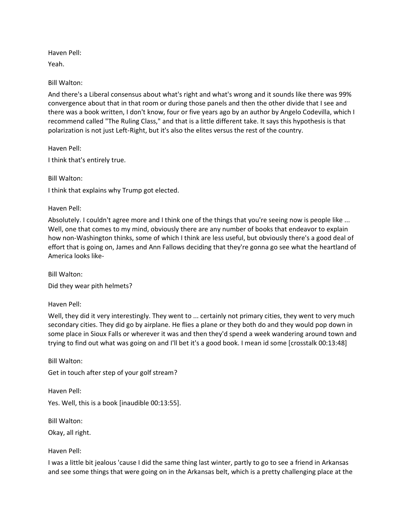Haven Pell:

Yeah.

# Bill Walton:

And there's a Liberal consensus about what's right and what's wrong and it sounds like there was 99% convergence about that in that room or during those panels and then the other divide that I see and there was a book written, I don't know, four or five years ago by an author by Angelo Codevilla, which I recommend called "The Ruling Class," and that is a little different take. It says this hypothesis is that polarization is not just Left-Right, but it's also the elites versus the rest of the country.

Haven Pell: I think that's entirely true.

Bill Walton:

I think that explains why Trump got elected.

Haven Pell:

Absolutely. I couldn't agree more and I think one of the things that you're seeing now is people like ... Well, one that comes to my mind, obviously there are any number of books that endeavor to explain how non-Washington thinks, some of which I think are less useful, but obviously there's a good deal of effort that is going on, James and Ann Fallows deciding that they're gonna go see what the heartland of America looks like-

Bill Walton:

Did they wear pith helmets?

Haven Pell:

Well, they did it very interestingly. They went to ... certainly not primary cities, they went to very much secondary cities. They did go by airplane. He flies a plane or they both do and they would pop down in some place in Sioux Falls or wherever it was and then they'd spend a week wandering around town and trying to find out what was going on and I'll bet it's a good book. I mean id some [crosstalk 00:13:48]

Bill Walton:

Get in touch after step of your golf stream?

Haven Pell: Yes. Well, this is a book [inaudible 00:13:55].

Bill Walton:

Okay, all right.

Haven Pell:

I was a little bit jealous 'cause I did the same thing last winter, partly to go to see a friend in Arkansas and see some things that were going on in the Arkansas belt, which is a pretty challenging place at the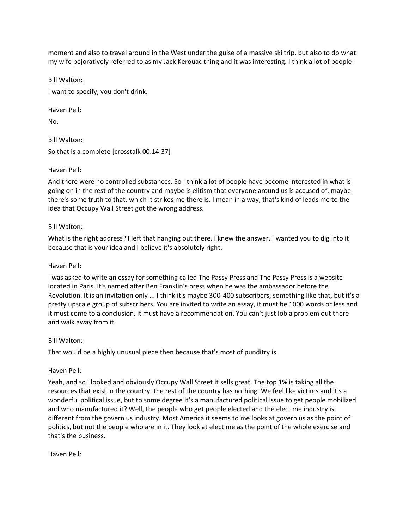moment and also to travel around in the West under the guise of a massive ski trip, but also to do what my wife pejoratively referred to as my Jack Kerouac thing and it was interesting. I think a lot of people-

Bill Walton:

I want to specify, you don't drink.

Haven Pell:

No.

Bill Walton: So that is a complete [crosstalk 00:14:37]

# Haven Pell:

And there were no controlled substances. So I think a lot of people have become interested in what is going on in the rest of the country and maybe is elitism that everyone around us is accused of, maybe there's some truth to that, which it strikes me there is. I mean in a way, that's kind of leads me to the idea that Occupy Wall Street got the wrong address.

# Bill Walton:

What is the right address? I left that hanging out there. I knew the answer. I wanted you to dig into it because that is your idea and I believe it's absolutely right.

# Haven Pell:

I was asked to write an essay for something called The Passy Press and The Passy Press is a website located in Paris. It's named after Ben Franklin's press when he was the ambassador before the Revolution. It is an invitation only ... I think it's maybe 300-400 subscribers, something like that, but it's a pretty upscale group of subscribers. You are invited to write an essay, it must be 1000 words or less and it must come to a conclusion, it must have a recommendation. You can't just lob a problem out there and walk away from it.

# Bill Walton:

That would be a highly unusual piece then because that's most of punditry is.

# Haven Pell:

Yeah, and so I looked and obviously Occupy Wall Street it sells great. The top 1% is taking all the resources that exist in the country, the rest of the country has nothing. We feel like victims and it's a wonderful political issue, but to some degree it's a manufactured political issue to get people mobilized and who manufactured it? Well, the people who get people elected and the elect me industry is different from the govern us industry. Most America it seems to me looks at govern us as the point of politics, but not the people who are in it. They look at elect me as the point of the whole exercise and that's the business.

Haven Pell: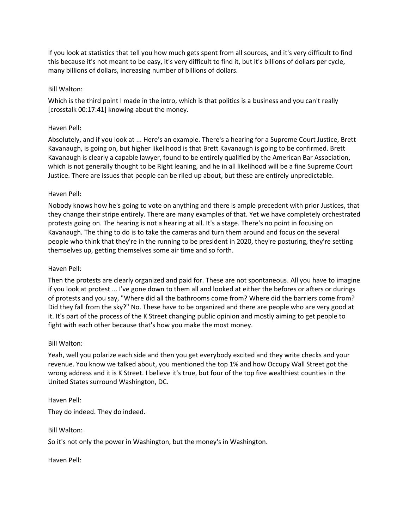If you look at statistics that tell you how much gets spent from all sources, and it's very difficult to find this because it's not meant to be easy, it's very difficult to find it, but it's billions of dollars per cycle, many billions of dollars, increasing number of billions of dollars.

### Bill Walton:

Which is the third point I made in the intro, which is that politics is a business and you can't really [crosstalk 00:17:41] knowing about the money.

### Haven Pell:

Absolutely, and if you look at ... Here's an example. There's a hearing for a Supreme Court Justice, Brett Kavanaugh, is going on, but higher likelihood is that Brett Kavanaugh is going to be confirmed. Brett Kavanaugh is clearly a capable lawyer, found to be entirely qualified by the American Bar Association, which is not generally thought to be Right leaning, and he in all likelihood will be a fine Supreme Court Justice. There are issues that people can be riled up about, but these are entirely unpredictable.

### Haven Pell:

Nobody knows how he's going to vote on anything and there is ample precedent with prior Justices, that they change their stripe entirely. There are many examples of that. Yet we have completely orchestrated protests going on. The hearing is not a hearing at all. It's a stage. There's no point in focusing on Kavanaugh. The thing to do is to take the cameras and turn them around and focus on the several people who think that they're in the running to be president in 2020, they're posturing, they're setting themselves up, getting themselves some air time and so forth.

### Haven Pell:

Then the protests are clearly organized and paid for. These are not spontaneous. All you have to imagine if you look at protest ... I've gone down to them all and looked at either the befores or afters or durings of protests and you say, "Where did all the bathrooms come from? Where did the barriers come from? Did they fall from the sky?" No. These have to be organized and there are people who are very good at it. It's part of the process of the K Street changing public opinion and mostly aiming to get people to fight with each other because that's how you make the most money.

#### Bill Walton:

Yeah, well you polarize each side and then you get everybody excited and they write checks and your revenue. You know we talked about, you mentioned the top 1% and how Occupy Wall Street got the wrong address and it is K Street. I believe it's true, but four of the top five wealthiest counties in the United States surround Washington, DC.

Haven Pell:

They do indeed. They do indeed.

Bill Walton:

So it's not only the power in Washington, but the money's in Washington.

Haven Pell: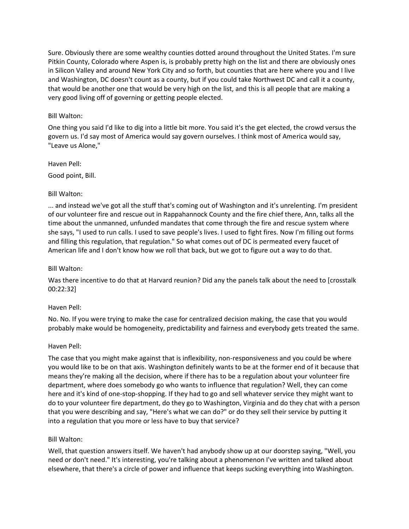Sure. Obviously there are some wealthy counties dotted around throughout the United States. I'm sure Pitkin County, Colorado where Aspen is, is probably pretty high on the list and there are obviously ones in Silicon Valley and around New York City and so forth, but counties that are here where you and I live and Washington, DC doesn't count as a county, but if you could take Northwest DC and call it a county, that would be another one that would be very high on the list, and this is all people that are making a very good living off of governing or getting people elected.

# Bill Walton:

One thing you said I'd like to dig into a little bit more. You said it's the get elected, the crowd versus the govern us. I'd say most of America would say govern ourselves. I think most of America would say, "Leave us Alone,"

Haven Pell:

Good point, Bill.

# Bill Walton:

... and instead we've got all the stuff that's coming out of Washington and it's unrelenting. I'm president of our volunteer fire and rescue out in Rappahannock County and the fire chief there, Ann, talks all the time about the unmanned, unfunded mandates that come through the fire and rescue system where she says, "I used to run calls. I used to save people's lives. I used to fight fires. Now I'm filling out forms and filling this regulation, that regulation." So what comes out of DC is permeated every faucet of American life and I don't know how we roll that back, but we got to figure out a way to do that.

# Bill Walton:

Was there incentive to do that at Harvard reunion? Did any the panels talk about the need to [crosstalk 00:22:32]

# Haven Pell:

No. No. If you were trying to make the case for centralized decision making, the case that you would probably make would be homogeneity, predictability and fairness and everybody gets treated the same.

# Haven Pell:

The case that you might make against that is inflexibility, non-responsiveness and you could be where you would like to be on that axis. Washington definitely wants to be at the former end of it because that means they're making all the decision, where if there has to be a regulation about your volunteer fire department, where does somebody go who wants to influence that regulation? Well, they can come here and it's kind of one-stop-shopping. If they had to go and sell whatever service they might want to do to your volunteer fire department, do they go to Washington, Virginia and do they chat with a person that you were describing and say, "Here's what we can do?" or do they sell their service by putting it into a regulation that you more or less have to buy that service?

# Bill Walton:

Well, that question answers itself. We haven't had anybody show up at our doorstep saying, "Well, you need or don't need." It's interesting, you're talking about a phenomenon I've written and talked about elsewhere, that there's a circle of power and influence that keeps sucking everything into Washington.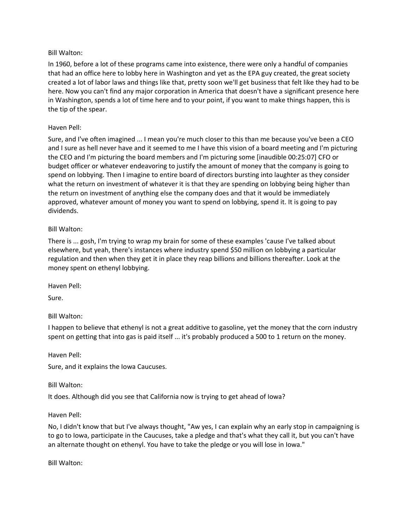# Bill Walton:

In 1960, before a lot of these programs came into existence, there were only a handful of companies that had an office here to lobby here in Washington and yet as the EPA guy created, the great society created a lot of labor laws and things like that, pretty soon we'll get business that felt like they had to be here. Now you can't find any major corporation in America that doesn't have a significant presence here in Washington, spends a lot of time here and to your point, if you want to make things happen, this is the tip of the spear.

# Haven Pell:

Sure, and I've often imagined ... I mean you're much closer to this than me because you've been a CEO and I sure as hell never have and it seemed to me I have this vision of a board meeting and I'm picturing the CEO and I'm picturing the board members and I'm picturing some [inaudible 00:25:07] CFO or budget officer or whatever endeavoring to justify the amount of money that the company is going to spend on lobbying. Then I imagine to entire board of directors bursting into laughter as they consider what the return on investment of whatever it is that they are spending on lobbying being higher than the return on investment of anything else the company does and that it would be immediately approved, whatever amount of money you want to spend on lobbying, spend it. It is going to pay dividends.

# Bill Walton:

There is ... gosh, I'm trying to wrap my brain for some of these examples 'cause I've talked about elsewhere, but yeah, there's instances where industry spend \$50 million on lobbying a particular regulation and then when they get it in place they reap billions and billions thereafter. Look at the money spent on ethenyl lobbying.

Haven Pell:

Sure.

# Bill Walton:

I happen to believe that ethenyl is not a great additive to gasoline, yet the money that the corn industry spent on getting that into gas is paid itself ... it's probably produced a 500 to 1 return on the money.

Haven Pell:

Sure, and it explains the Iowa Caucuses.

# Bill Walton:

It does. Although did you see that California now is trying to get ahead of Iowa?

# Haven Pell:

No, I didn't know that but I've always thought, "Aw yes, I can explain why an early stop in campaigning is to go to Iowa, participate in the Caucuses, take a pledge and that's what they call it, but you can't have an alternate thought on ethenyl. You have to take the pledge or you will lose in Iowa."

Bill Walton: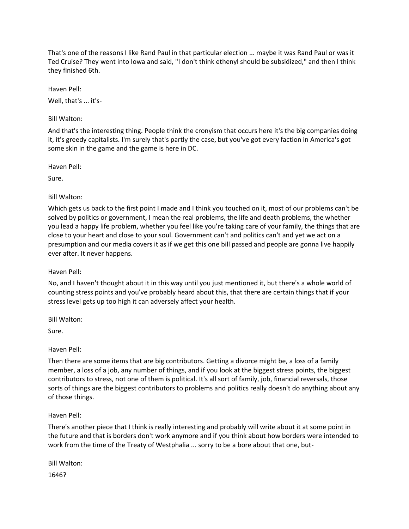That's one of the reasons I like Rand Paul in that particular election ... maybe it was Rand Paul or was it Ted Cruise? They went into Iowa and said, "I don't think ethenyl should be subsidized," and then I think they finished 6th.

Haven Pell:

Well, that's ... it's-

# Bill Walton:

And that's the interesting thing. People think the cronyism that occurs here it's the big companies doing it, it's greedy capitalists. I'm surely that's partly the case, but you've got every faction in America's got some skin in the game and the game is here in DC.

Haven Pell:

Sure.

Bill Walton:

Which gets us back to the first point I made and I think you touched on it, most of our problems can't be solved by politics or government, I mean the real problems, the life and death problems, the whether you lead a happy life problem, whether you feel like you're taking care of your family, the things that are close to your heart and close to your soul. Government can't and politics can't and yet we act on a presumption and our media covers it as if we get this one bill passed and people are gonna live happily ever after. It never happens.

Haven Pell:

No, and I haven't thought about it in this way until you just mentioned it, but there's a whole world of counting stress points and you've probably heard about this, that there are certain things that if your stress level gets up too high it can adversely affect your health.

Bill Walton:

Sure.

# Haven Pell:

Then there are some items that are big contributors. Getting a divorce might be, a loss of a family member, a loss of a job, any number of things, and if you look at the biggest stress points, the biggest contributors to stress, not one of them is political. It's all sort of family, job, financial reversals, those sorts of things are the biggest contributors to problems and politics really doesn't do anything about any of those things.

# Haven Pell:

There's another piece that I think is really interesting and probably will write about it at some point in the future and that is borders don't work anymore and if you think about how borders were intended to work from the time of the Treaty of Westphalia ... sorry to be a bore about that one, but-

Bill Walton:

1646?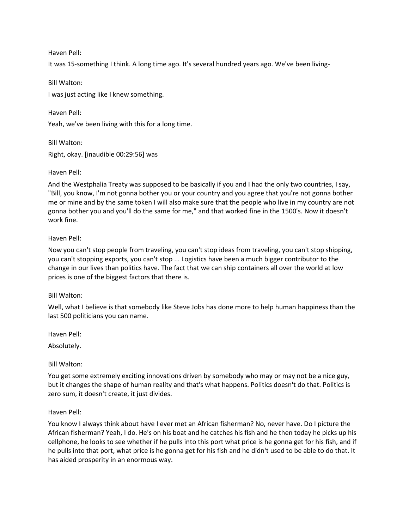Haven Pell:

It was 15-something I think. A long time ago. It's several hundred years ago. We've been living-

Bill Walton:

I was just acting like I knew something.

Haven Pell:

Yeah, we've been living with this for a long time.

Bill Walton:

Right, okay. [inaudible 00:29:56] was

# Haven Pell:

And the Westphalia Treaty was supposed to be basically if you and I had the only two countries, I say, "Bill, you know, I'm not gonna bother you or your country and you agree that you're not gonna bother me or mine and by the same token I will also make sure that the people who live in my country are not gonna bother you and you'll do the same for me," and that worked fine in the 1500's. Now it doesn't work fine.

# Haven Pell:

Now you can't stop people from traveling, you can't stop ideas from traveling, you can't stop shipping, you can't stopping exports, you can't stop ... Logistics have been a much bigger contributor to the change in our lives than politics have. The fact that we can ship containers all over the world at low prices is one of the biggest factors that there is.

# Bill Walton:

Well, what I believe is that somebody like Steve Jobs has done more to help human happiness than the last 500 politicians you can name.

Haven Pell:

Absolutely.

# Bill Walton:

You get some extremely exciting innovations driven by somebody who may or may not be a nice guy, but it changes the shape of human reality and that's what happens. Politics doesn't do that. Politics is zero sum, it doesn't create, it just divides.

# Haven Pell:

You know I always think about have I ever met an African fisherman? No, never have. Do I picture the African fisherman? Yeah, I do. He's on his boat and he catches his fish and he then today he picks up his cellphone, he looks to see whether if he pulls into this port what price is he gonna get for his fish, and if he pulls into that port, what price is he gonna get for his fish and he didn't used to be able to do that. It has aided prosperity in an enormous way.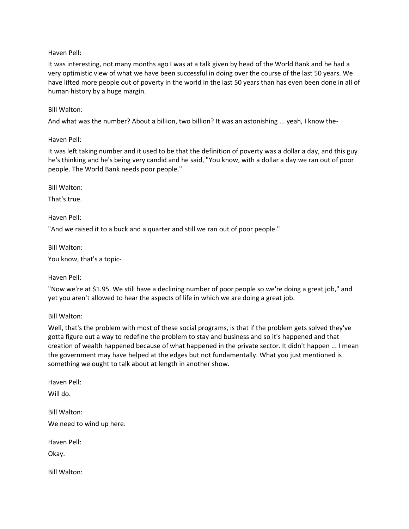# Haven Pell:

It was interesting, not many months ago I was at a talk given by head of the World Bank and he had a very optimistic view of what we have been successful in doing over the course of the last 50 years. We have lifted more people out of poverty in the world in the last 50 years than has even been done in all of human history by a huge margin.

# Bill Walton:

And what was the number? About a billion, two billion? It was an astonishing ... yeah, I know the-

Haven Pell:

It was left taking number and it used to be that the definition of poverty was a dollar a day, and this guy he's thinking and he's being very candid and he said, "You know, with a dollar a day we ran out of poor people. The World Bank needs poor people."

Bill Walton:

That's true.

Haven Pell:

"And we raised it to a buck and a quarter and still we ran out of poor people."

Bill Walton:

You know, that's a topic-

Haven Pell:

"Now we're at \$1.95. We still have a declining number of poor people so we're doing a great job," and yet you aren't allowed to hear the aspects of life in which we are doing a great job.

Bill Walton:

Well, that's the problem with most of these social programs, is that if the problem gets solved they've gotta figure out a way to redefine the problem to stay and business and so it's happened and that creation of wealth happened because of what happened in the private sector. It didn't happen ... I mean the government may have helped at the edges but not fundamentally. What you just mentioned is something we ought to talk about at length in another show.

Haven Pell:

Will do.

Bill Walton: We need to wind up here.

Haven Pell:

Okay.

Bill Walton: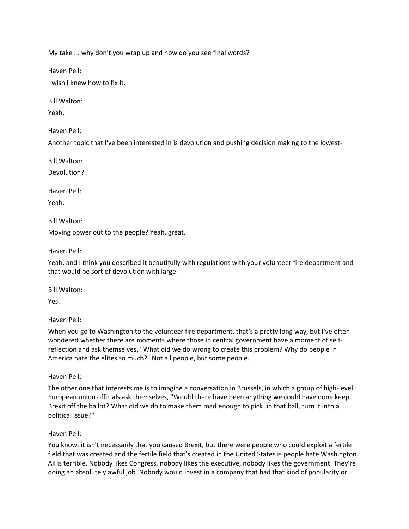My take ... why don't you wrap up and how do you see final words?

Haven Pell:

I wish I knew how to fix it.

Bill Walton:

Yeah.

Haven Pell:

Another topic that I've been interested in is devolution and pushing decision making to the lowest-

Bill Walton:

Devolution?

Haven Pell:

Yeah.

Bill Walton:

Moving power out to the people? Yeah, great.

Haven Pell:

Yeah, and I think you described it beautifully with regulations with your volunteer fire department and that would be sort of devolution with large.

Bill Walton:

Yes.

Haven Pell:

When you go to Washington to the volunteer fire department, that's a pretty long way, but I've often wondered whether there are moments where those in central government have a moment of selfreflection and ask themselves, "What did we do wrong to create this problem? Why do people in America hate the elites so much?" Not all people, but some people.

Haven Pell:

The other one that interests me is to imagine a conversation in Brussels, in which a group of high-level European union officials ask themselves, "Would there have been anything we could have done keep Brexit off the ballot? What did we do to make them mad enough to pick up that ball, turn it into a political issue?"

# Haven Pell:

You know, it isn't necessarily that you caused Brexit, but there were people who could exploit a fertile field that was created and the fertile field that's created in the United States is people hate Washington. All is terrible. Nobody likes Congress, nobody likes the executive, nobody likes the government. They're doing an absolutely awful job. Nobody would invest in a company that had that kind of popularity or